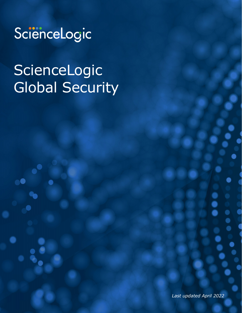

# ScienceLogic Global Security

*Last updated April 2022*

ww.sciencelogic.com | [info@sciencelogic.com](mailto:info@sciencelogic.com) | info@sciencelogic.com | info@sciencelogic.com | Phone: +1.703.35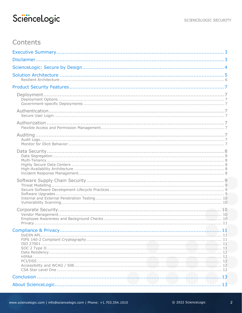## Contents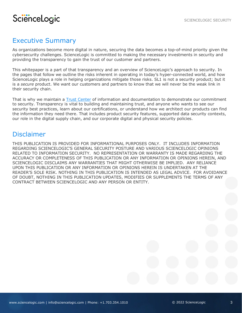## <span id="page-2-0"></span>Executive Summary

As organizations become more digital in nature, securing the data becomes a top-of-mind priority given the cybersecurity challenges. ScienceLogic is committed to making the necessary investments in security and providing the transparency to gain the trust of our customer and partners.

This whitepaper is a part of that transparency and an overview of ScienceLogic's approach to security. In the pages that follow we outline the risks inherent in operating in today's hyper-connected world, and how ScienceLogic plays a role in helping organizations mitigate those risks. SL1 is not a security product; but it is a *secure* product. We want our customers and partners to know that we will never be the weak link in their security chain.

That is why we maintain a [Trust Center](https://sciencelogic.com/trust-center) of information and documentation to demonstrate our commitment to security. Transparency is vital to building and maintaining trust, and anyone who wants to see our security best practices, learn about our certifications, or understand how we architect our products can find the information they need there. That includes product security features, supported data security contexts, our role in the digital supply chain, and our corporate digital and physical security policies.

### <span id="page-2-1"></span>Disclaimer

THIS PUBLICATION IS PROVIDED FOR INFORMATIONAL PURPOSES ONLY. IT INCLUDES INFORMATION REGARDING SCIENCELOGIC'S GENERAL SECURITY POSTURE AND VARIOUS SCIENCELOGIC OPINIONS RELATED TO INFORMATION SECURITY. NO REPRESENTATION OR WARRANTY IS MADE REGARDING THE ACCURACY OR COMPLETENESS OF THIS PUBLICATION OR ANY INFORMATION OR OPINIONS HEREIN, AND SCIENCELOGIC DISCLAIMS ANY WARRANTIES THAT MIGHT OTHERWISE BE IMPLIED. ANY RELIANCE UPON THIS PUBLICATION OR ANY INFORMATION OR OPINIONS HEREIN IS UNDERTAKEN AT THE READER'S SOLE RISK. NOTHING IN THIS PUBLICATION IS INTENDED AS LEGAL ADVICE. FOR AVOIDANCE OF DOUBT, NOTHING IN THIS PUBLICATION UPDATES, MODIFIES OR SUPPLEMENTS THE TERMS OF ANY CONTRACT BETWEEN SCIENCELOGIC AND ANY PERSON OR ENTITY.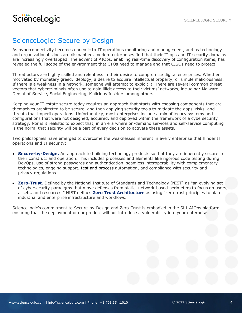## <span id="page-3-0"></span>ScienceLogic: Secure by Design

As hyperconnectivity becomes endemic to IT operations monitoring and management, and as technology and organizational siloes are dismantled, modern enterprises find that their IT ops and IT security domains are increasingly overlapped. The advent of AIOps, enabling real-time discovery of configuration items, has revealed the full scope of the environment that CTOs need to manage and that CISOs need to protect.

Threat actors are highly skilled and relentless in their desire to compromise digital enterprises. Whether motivated by monetary greed, ideology, a desire to acquire intellectual property, or simple maliciousness. If there is a weakness in a network, someone will attempt to exploit it. There are several common threat vectors that cybercriminals often use to gain illicit access to their victims' networks, including: Malware, Denial-of-Service, Social Engineering, Malicious Insiders among others.

Keeping your IT estate secure today requires an approach that starts with choosing components that are themselves architected to be secure, and then applying security tools to mitigate the gaps, risks, and threats that imperil operations. Unfortunately, most enterprises include a mix of legacy systems and configurations that were not designed, acquired, and deployed within the framework of a cybersecurity strategy. Nor is it realistic to expect that, in an era where on-demand services and self-service computing is the norm, that security will be a part of every decision to activate these assets.

Two philosophies have emerged to overcome the weaknesses inherent in every enterprise that hinder IT operations and IT security:

- **Secure-by-Design.** An approach to building technology products so that they are inherently secure in their construct and operation. This includes processes and elements like rigorous code testing during DevOps, use of strong passwords and authentication, seamless interoperability with complementary technologies, ongoing support, test and process automation, and compliance with security and privacy regulations.
- **Zero-Trust.** Defined by the National Institute of Standards and Technology (NIST) as "an evolving set of cybersecurity paradigms that move defenses from static, network-based perimeters to focus on users, assets, and resources." NIST defines **Zero Trust Architecture** as using "zero trust principles to plan industrial and enterprise infrastructure and workflows."

ScienceLogic's commitment to Secure-by-Design and Zero-Trust is embodied in the SL1 AIOps platform, ensuring that the deployment of our product will not introduce a vulnerability into your enterprise.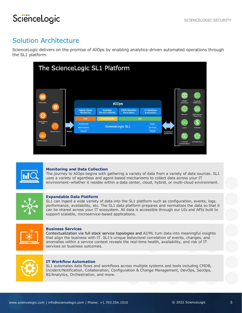## <span id="page-4-0"></span>Solution Architecture

ScienceLogic delivers on the promise of AIOps by enabling analytics-driven automated operations through the SL1 platform.





#### **Monitoring and Data Collection**

The journey to AIOps begins with gathering a variety of data from a variety of data sources. SL1 uses a variety of agentless and agent-based mechanisms to collect data across your IT environment–whether it resides within a data center, cloud, hybrid, or multi-cloud environment.



#### **Expandable Data Platform**

SL1 can ingest a wide variety of data into the SL1 platform such as configuration, events, logs, performance, availability, etc. The SL1 data platform prepares and normalizes the data so that it can be shared across your IT ecosystem. All data is accessible through our UIs and APIs built to support scalable, microservice-based applications.



#### **Business Services**

Contextualization via full stack service topologies and AI/ML turn data into meaningful insights that align the business with IT. SL1's unique behavioral correlation of events, changes, and anomalies within a service context reveals the real-time health, availability, and risk of IT services on business outcomes.



#### **IT Workflow Automation**

SL1 automates data flows and workflows across multiple systems and tools including CMDB, Incident/Notification, Collaboration, Configuration & Change Management, DevOps, SecOps, BI/Analytics, Orchestration, and more.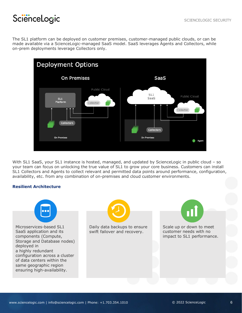The SL1 platform can be deployed on customer premises, customer-managed public clouds, or can be made available via a ScienceLogic-managed SaaS model. SaaS leverages Agents and Collectors, while on-prem deployments leverage Collectors only.



With SL1 SaaS, your SL1 instance is hosted, managed, and updated by ScienceLogic in public cloud - so your team can focus on unlocking the true value of SL1 to grow your core business. Customers can install SL1 Collectors and Agents to collect relevant and permitted data points around performance, configuration, availability, etc. from any combination of on-premises and cloud customer environments.

#### <span id="page-5-0"></span>**Resilient Architecture**

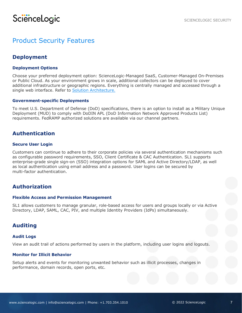## <span id="page-6-1"></span><span id="page-6-0"></span>Product Security Features

### **Deployment**

#### <span id="page-6-2"></span>**Deployment Options**

Choose your preferred deployment option: ScienceLogic-Managed SaaS, Customer-Managed On-Premises or Public Cloud. As your environment grows in scale, additional collectors can be deployed to cover additional infrastructure or geographic regions. Everything is centrally managed and accessed through a single web interface. Refer to [Solution Architecture.](#page-4-0)

#### <span id="page-6-3"></span>**Government-specific Deployments**

To meet U.S. Department of Defense (DoD) specifications, there is an option to install as a Military Unique Deployment (MUD) to comply with DoDIN APL (DoD Information Network Approved Products List) requirements. FedRAMP authorized solutions are available via our channel partners.

#### <span id="page-6-4"></span>**Authentication**

#### <span id="page-6-5"></span>**Secure User Login**

Customers can continue to adhere to their corporate policies via several authentication mechanisms such as configurable password requirements, SSO, Client Certificate & CAC Authentication. SL1 supports enterprise-grade single sign-on (SSO) integration options for SAML and Active Directory/LDAP, as well as local authentication using email address and a password. User logins can be secured by multi-factor authentication.

#### <span id="page-6-6"></span>**Authorization**

#### <span id="page-6-7"></span>**Flexible Access and Permission Management**

SL1 allows customers to manage granular, role-based access for users and groups locally or via Active Directory, LDAP, SAML, CAC, PIV, and multiple Identity Providers (IdPs) simultaneously.

#### <span id="page-6-8"></span>**Auditing**

#### <span id="page-6-9"></span>**Audit Logs**

View an [audit trail](https://docs.sciencelogic.com/latest/Content/Web_General_Information/Security_Features/security_features_security_settings.htm#Reports) of actions performed by users in the platform, including user logins and logouts.

#### <span id="page-6-10"></span>**Monitor for Illicit Behavior**

Setup alerts and events for [monitoring unwanted behavior](https://docs.sciencelogic.com/latest/Content/Web_General_Information/Security_Features/security_features_security_settings.htm#Monitori2) such as illicit processes, changes in performance, domain records, open ports, etc.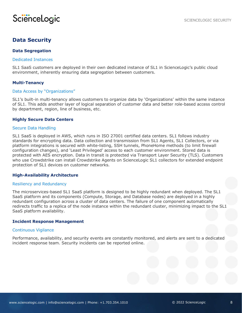

### <span id="page-7-0"></span>**Data Security**

#### <span id="page-7-1"></span>**Data Segregation**

#### Dedicated Instances

SL1 SaaS customers are deployed in their own dedicated instance of SL1 in ScienceLogic's public cloud environment, inherently ensuring data segregation between customers.

#### <span id="page-7-2"></span>**Multi-Tenancy**

#### Data Access by "Organizations"

SL1's built-in multi-tenancy allows customers to organize data by 'Organizations' within the same instance of SL1. This adds another layer of logical separation of customer data and better role-based access control by department, region, line of business, etc.

#### <span id="page-7-3"></span>**Highly Secure Data Centers**

#### Secure Data Handling

SL1 SaaS is deployed in AWS, which runs in ISO 27001 certified data centers. SL1 follows industry standards for encrypting data. Data collection and transmission from SL1 Agents, SL1 Collectors, or via platform integrations is secured with white-listing, SSH tunnels, PhoneHome methods (to limit firewall configuration changes), and 'Least Privileged' access to each customer environment. Stored data is protected with AES encryption. Data in transit is protected via Transport Layer Security (TLS). Customers who use Crowdstrike can install Crowdstrike Agents on ScienceLogic SL1 collectors for extended endpoint protection of SL1 devices on customer networks.

#### <span id="page-7-4"></span>**High-Availability Architecture**

#### Resiliency and Redundancy

The microservices-based SL1 SaaS platform is designed to be highly redundant when deployed. The SL1 SaaS platform and its components (Compute, Storage, and Database nodes) are deployed in a highly redundant configuration across a cluster of data centers. The failure of one component automatically redirects traffic to a replica of the node instance within the redundant cluster, minimizing impact to the SL1 SaaS platform availability.

#### <span id="page-7-5"></span>**Incident Response Management**

#### Continuous Vigilance

Performance, availability, and security events are constantly monitored, and alerts are sent to a dedicated incident response team. Security incidents can be reported online.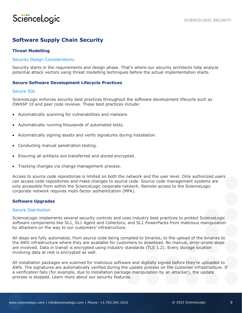### <span id="page-8-0"></span>**Software Supply Chain Security**

#### <span id="page-8-1"></span>**Threat Modelling**

#### Security Design Considerations

Security starts in the requirements and design phase. That's where our security architects help analyze potential attack vectors using threat modelling techniques before the actual implementation starts.

#### <span id="page-8-2"></span>**Secure Software Development Lifecycle Practices**

#### Secure SDL

ScienceLogic enforces security best practices throughout the software development lifecycle such as OWASP 10 and peer code reviews. These best practices include:

- Automatically scanning for vulnerabilities and malware.
- Automatically running thousands of automated tests.
- Automatically signing assets and verify signatures during installation.
- Conducting manual penetration testing.
- Ensuring all artifacts are transferred and stored encrypted.
- Tracking changes via change management process.

Access to source code repositories is limited on both the network and the user level. Only authorized users can access code repositories and make changes to source code. Source code management systems are only accessible from within the ScienceLogic corporate network. Remote access to the ScienceLogic corporate network requires multi-factor authentication (MFA).

#### <span id="page-8-3"></span>**Software Upgrades**

#### Secure Distribution

ScienceLogic implements several security controls and uses industry best practices to protect ScienceLogic software components like SL1, SL1 Agent and Collectors, and SL1 PowerPacks from malicious manipulation by attackers on the way to our customers' infrastructure.

All steps are fully automated, from source code being compiled to binaries, to the upload of the binaries to the AWS infrastructure where they are available for customers to download. No manual, error-prone steps are involved. Data in transit is encrypted using industry standards (TLS 1.2). Every storage location involving data at rest is encrypted as well.

All installation packages are scanned for malicious software and digitally signed before they're uploaded to AWS. The signatures are automatically verified during the update process on the customer infrastructure. If a verification fails (for example, due to installation package manipulation by an attacker), the update process is stopped. Learn more about our security features.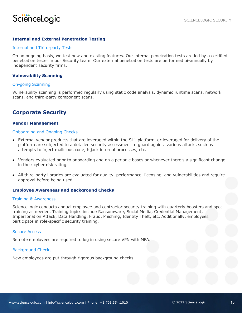#### <span id="page-9-0"></span>**Internal and External Penetration Testing**

#### Internal and Third-party Tests

On an ongoing basis, we test new and existing features. Our internal penetration tests are led by a certified penetration tester in our Security team. Our external penetration tests are performed bi-annually by independent security firms.

#### <span id="page-9-1"></span>**Vulnerability Scanning**

#### On-going Scanning

Vulnerability scanning is performed regularly using static code analysis, dynamic runtime scans, network scans, and third-party component scans.

#### <span id="page-9-2"></span>**Corporate Security**

#### <span id="page-9-3"></span>**Vendor Management**

#### Onboarding and Ongoing Checks

- External vendor products that are leveraged within the SL1 platform, or leveraged for delivery of the platform are subjected to a detailed security assessment to guard against various attacks such as attempts to inject malicious code, hijack internal processes, etc.
- Vendors evaluated prior to onboarding and on a periodic bases or whenever there's a significant change in their cyber risk rating.
- All third-party libraries are evaluated for quality, performance, licensing, and vulnerabilities and require approval before being used.

#### <span id="page-9-4"></span>**Employee Awareness and Background Checks**

#### Training & Awareness

ScienceLogic conducts annual employee and contractor security training with quarterly boosters and spottraining as needed. Training topics include Ransomware, Social Media, Credential Management, Impersonation Attack, Data Handling, Fraud, Phishing, Identity Theft, etc. Additionally, employees participate in role-specific security training.

#### Secure Access

Remote employees are required to log in using secure VPN with MFA.

#### Background Checks

New employees are put through rigorous background checks.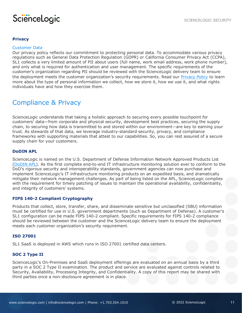#### <span id="page-10-0"></span>**Privacy**

#### Customer Data

Our privacy policy reflects our commitment to protecting personal data. To accommodate various privacy regulations such as General Data Protection Regulation (GDPR) or California Consumer Privacy Act (CCPA), SL1 collects a very limited amount of PII about users (full name, work email address, work phone number), and only what is required for authentication and user management. The specific requirements of the customer's organization regarding PII should be reviewed with the ScienceLogic delivery team to ensure the deployment meets the customer organization's security requirements. Read our **[Privacy Policy](https://sciencelogic.com/company/legal#privacypolicy)** to learn more about the type of personal information we collect, how we store it, how we use it, and what rights individuals have and how they exercise them.

### <span id="page-10-1"></span>Compliance & Privacy

ScienceLogic understands that taking a holistic approach to securing every possible touchpoint for customers' data—from corporate and physical security, development best practices, securing the supply chain, to securing how data is transmitted to and stored within our environment—are key to earning your trust. As stewards of that data, we leverage industry-standard security, privacy, and compliance frameworks with supporting materials that attest to our capabilities. So, you can rest assured of a secure supply chain for your customers.

#### <span id="page-10-2"></span>**DoDIN APL**

ScienceLogic is named on the U.S. Department of Defense Information Network Approved Products List [\(DoDIN APL\)](https://aplits.disa.mil/processAPList.action). As the first complete end-to-end IT infrastructure monitoring solution ever to conform to the DoD's rigorous security and interoperability standards, government agencies can now purchase and implement ScienceLogic's IT infrastructure monitoring products on an expedited basis, and dramatically mitigate their network management challenges. As part of being listed on the APL, ScienceLogic complies with the requirement for timely patching of issues to maintain the operational availability, confidentiality, and integrity of customers' systems.

#### <span id="page-10-3"></span>**FIPS 140-2 Compliant Cryptography**

Products that collect, store, transfer, share, and disseminate sensitive but unclassified (SBU) information must be certified for use in U.S. government departments (such as Department of Defense). A customer's SL1 configuration can be made FIPS 140-2 compliant. Specific requirements for FIPS 140-2 compliance should be reviewed between the customer and the ScienceLogic delivery team to ensure the deployment meets each customer organization's security requirement.

#### <span id="page-10-4"></span>**ISO 27001**

SL1 SaaS is deployed in AWS which runs in ISO 27001 certified data centers.

#### <span id="page-10-5"></span>**SOC 2 Type II**

ScienceLogic's On-Premises and SaaS deployment offerings are evaluated on an annual basis by a third party in a SOC 2 Type II examination. The product and service are evaluated against controls related to Security, Availability, Processing Integrity, and Confidentiality. A copy of this report may be shared with third parties once a non-disclosure agreement is in place.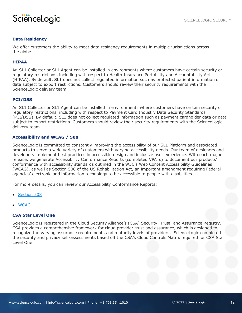

#### <span id="page-11-0"></span>**Data Residency**

We offer customers the ability to meet data residency requirements in multiple jurisdictions across the globe.

#### <span id="page-11-1"></span>**HIPAA**

An SL1 Collector or SL1 Agent can be installed in environments where customers have certain security or regulatory restrictions, including with respect to Health Insurance Portability and Accountability Act (HIPAA). By default, SL1 does not collect regulated information such as protected patient information or data subject to export restrictions. Customers should review their security requirements with the ScienceLogic delivery team.

#### <span id="page-11-2"></span>**PCI/DSS**

An SL1 Collector or SL1 Agent can be installed in environments where customers have certain security or regulatory restrictions, including with respect to Payment Card Industry Data Security Standards (PCI/DSS). By default, SL1 does not collect regulated information such as payment cardholder data or data subject to export restrictions. Customers should review their security requirements with the ScienceLogic delivery team.

#### <span id="page-11-3"></span>**Accessibility and WCAG / 508**

ScienceLogic is committed to constantly improving the accessibility of our SL1 Platform and associated products to serve a wide variety of customers with varying accessibility needs. Our team of designers and developers implement best practices in accessible design and inclusive user experience. With each major release, we generate Accessibility Conformance Reports (completed VPATs) to document our products' conformance with accessibility standards outlined in the W3C's Web Content Accessibility Guidelines (WCAG), as well as Section 508 of the US Rehabilitation Act, an important amendment requiring Federal agencies' electronic and information technology to be accessible to people with disabilities.

For more details, you can review our Accessibility Conformance Reports:

- [Section 508](https://sciencelogic.com/wp-content/uploads/2021/10/ScienceLogicSL1July2021VPAT2.4Rev508.pdf)
- [WCAG](https://sciencelogic.com/wp-content/uploads/2021/10/ScienceLogicSL1July2021VPAT2.4RevWCAG.pdf)

#### <span id="page-11-4"></span>**CSA Star Level One**

ScienceLogic is registered in the Cloud Security Alliance's (CSA) Security, Trust, and Assurance Registry. CSA provides a comprehensive framework for cloud provider trust and assurance, which is designed to recognize the varying assurance requirements and maturity levels of providers. ScienceLogic completed the security and privacy self-assessments based off the CSA's Cloud Controls Matrix required for CSA Star Level One.